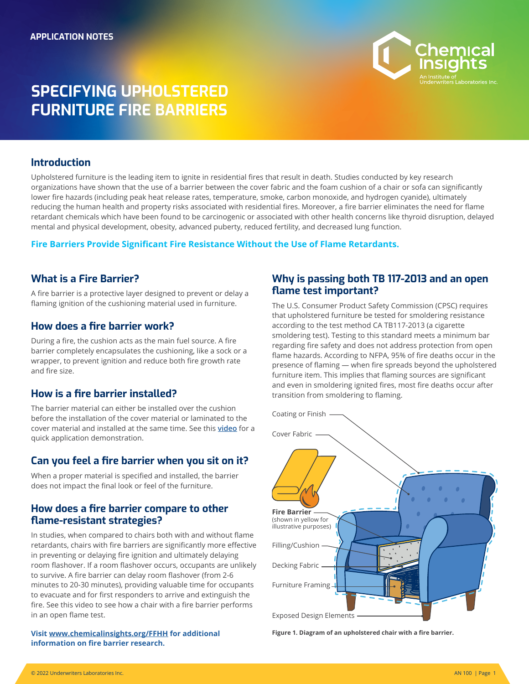

# **SPECIFYING UPHOLSTERED FURNITURE FIRE BARRIERS**

# **Introduction**

Upholstered furniture is the leading item to ignite in residential fires that result in death. Studies conducted by key research organizations have shown that the use of a barrier between the cover fabric and the foam cushion of a chair or sofa can significantly lower fire hazards (including peak heat release rates, temperature, smoke, carbon monoxide, and hydrogen cyanide), ultimately reducing the human health and property risks associated with residential fires. Moreover, a fire barrier eliminates the need for flame retardant chemicals which have been found to be carcinogenic or associated with other health concerns like thyroid disruption, delayed mental and physical development, obesity, advanced puberty, reduced fertility, and decreased lung function.

### **Fire Barriers Provide Significant Fire Resistance Without the Use of Flame Retardants.**

# **What is a Fire Barrier?**

A fire barrier is a protective layer designed to prevent or delay a flaming ignition of the cushioning material used in furniture.

### **How does a fire barrier work?**

During a fire, the cushion acts as the main fuel source. A fire barrier completely encapsulates the cushioning, like a sock or a wrapper, to prevent ignition and reduce both fire growth rate and fire size.

# **How is a fire barrier installed?**

The barrier material can either be installed over the cushion before the installation of the cover material or laminated to the cover material and installed at the same time. See this **[video](https://www.youtube.com/watch?v=Tz9AcajFjUs)** for a quick application demonstration.

# **Can you feel a fire barrier when you sit on it?**

When a proper material is specified and installed, the barrier does not impact the final look or feel of the furniture.

### **How does a fire barrier compare to other flame-resistant strategies?**

In studies, when compared to chairs both with and without flame retardants, chairs with fire barriers are significantly more effective in preventing or delaying fire ignition and ultimately delaying room flashover. If a room flashover occurs, occupants are unlikely to survive. A fire barrier can delay room flashover (from 2-6 minutes to 20-30 minutes), providing valuable time for occupants to evacuate and for first responders to arrive and extinguish the fire. See this video to see how a chair with a fire barrier performs in an open flame test. The state of the state of the state of the state of the state of the state of the state of the state of the state of the state of the state of the state of the state of the state of the state of the

**Visit [www.chemicalinsights.org/FFHH](https://chemicalinsights.org/ffhh) for additional information on fire barrier research.**

# **Why is passing both TB 117-2013 and an open flame test important?**

The U.S. Consumer Product Safety Commission (CPSC) requires that upholstered furniture be tested for smoldering resistance according to the test method CA TB117-2013 (a cigarette smoldering test). Testing to this standard meets a minimum bar regarding fire safety and does not address protection from open flame hazards. According to NFPA, 95% of fire deaths occur in the presence of flaming — when fire spreads beyond the upholstered furniture item. This implies that flaming sources are significant and even in smoldering ignited fires, most fire deaths occur after transition from smoldering to flaming.



**Figure 1. Diagram of an upholstered chair with a fire barrier.**